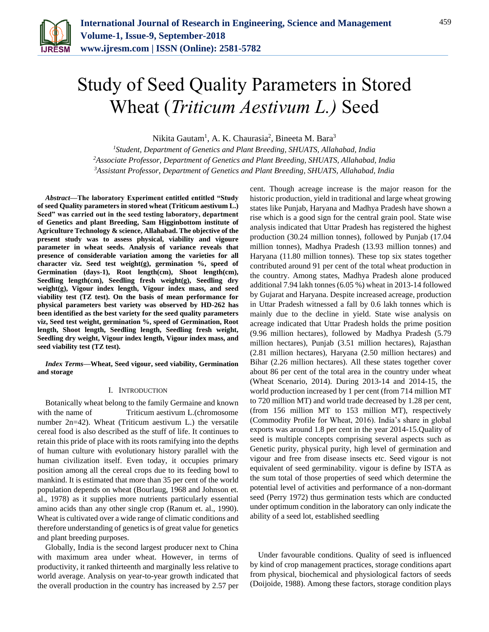

# Study of Seed Quality Parameters in Stored Wheat (*Triticum Aestivum L.)* Seed

Nikita Gautam<sup>1</sup>, A. K. Chaurasia<sup>2</sup>, Bineeta M. Bara<sup>3</sup>

*<sup>1</sup>Student, Department of Genetics and Plant Breeding, SHUATS, Allahabad, India <sup>2</sup>Associate Professor, Department of Genetics and Plant Breeding, SHUATS, Allahabad, India <sup>3</sup>Assistant Professor, Department of Genetics and Plant Breeding, SHUATS, Allahabad, India*

*Abstract***—The laboratory Experiment entitled entitled "Study of seed Quality parameters in stored wheat (Triticum aestivum L.) Seed" was carried out in the seed testing laboratory, department of Genetics and plant Breeding, Sam Higginbottom institute of Agriculture Technology & science, Allahabad. The objective of the present study was to assess physical, viability and vigoure parameter in wheat seeds. Analysis of variance reveals that presence of considerable variation among the varieties for all character viz. Seed test weight(g), germination %, speed of Germination (days-1), Root length(cm), Shoot length(cm), Seedling length(cm), Seedling fresh weight(g), Seedling dry weight(g), Vigour index length, Vigour index mass, and seed viability test (TZ test). On the basis of mean performance for physical parameters best variety was observed by HD-262 has been identified as the best variety for the seed quality parameters viz, Seed test weight, germination %, speed of Germination, Root length, Shoot length, Seedling length, Seedling fresh weight, Seedling dry weight, Vigour index length, Vigour index mass, and seed viability test (TZ test).**

*Index Terms***—Wheat, Seed vigour, seed viability, Germination and storage**

#### I. INTRODUCTION

Botanically wheat belong to the family Germaine and known with the name of Triticum aestivum L.(chromosome number 2n=42). Wheat (Triticum aestivum L.) the versatile cereal food is also described as the stuff of life. It continues to retain this pride of place with its roots ramifying into the depths of human culture with evolutionary history parallel with the human civilization itself. Even today, it occupies primary position among all the cereal crops due to its feeding bowl to mankind. It is estimated that more than 35 per cent of the world population depends on wheat (Bourlaug, 1968 and Johnson et. al., 1978) as it supplies more nutrients particularly essential amino acids than any other single crop (Ranum et. al., 1990). Wheat is cultivated over a wide range of climatic conditions and therefore understanding of genetics is of great value for genetics and plant breeding purposes.

Globally, India is the second largest producer next to China with maximum area under wheat. However, in terms of productivity, it ranked thirteenth and marginally less relative to world average. Analysis on year-to-year growth indicated that the overall production in the country has increased by 2.57 per

cent. Though acreage increase is the major reason for the historic production, yield in traditional and large wheat growing states like Punjab, Haryana and Madhya Pradesh have shown a rise which is a good sign for the central grain pool. State wise analysis indicated that Uttar Pradesh has registered the highest production (30.24 million tonnes), followed by Punjab (17.04 million tonnes), Madhya Pradesh (13.93 million tonnes) and Haryana (11.80 million tonnes). These top six states together contributed around 91 per cent of the total wheat production in the country. Among states, Madhya Pradesh alone produced additional 7.94 lakh tonnes (6.05 %) wheat in 2013-14 followed by Gujarat and Haryana. Despite increased acreage, production in Uttar Pradesh witnessed a fall by 0.6 lakh tonnes which is mainly due to the decline in yield. State wise analysis on acreage indicated that Uttar Pradesh holds the prime position (9.96 million hectares), followed by Madhya Pradesh (5.79 million hectares), Punjab (3.51 million hectares), Rajasthan (2.81 million hectares), Haryana (2.50 million hectares) and Bihar (2.26 million hectares). All these states together cover about 86 per cent of the total area in the country under wheat (Wheat Scenario, 2014). During 2013-14 and 2014-15, the world production increased by 1 per cent (from 714 million MT to 720 million MT) and world trade decreased by 1.28 per cent, (from 156 million MT to 153 million MT), respectively (Commodity Profile for Wheat, 2016). India's share in global exports was around 1.8 per cent in the year 2014-15.Quality of seed is multiple concepts comprising several aspects such as Genetic purity, physical purity, high level of germination and vigour and free from disease insects etc. Seed vigour is not equivalent of seed germinability. vigour is define by ISTA as the sum total of those properties of seed which determine the potential level of activities and performance of a non-dormant seed (Perry 1972) thus germination tests which are conducted under optimum condition in the laboratory can only indicate the ability of a seed lot, established seedling

Under favourable conditions. Quality of seed is influenced by kind of crop management practices, storage conditions apart from physical, biochemical and physiological factors of seeds (Doijoide, 1988). Among these factors, storage condition plays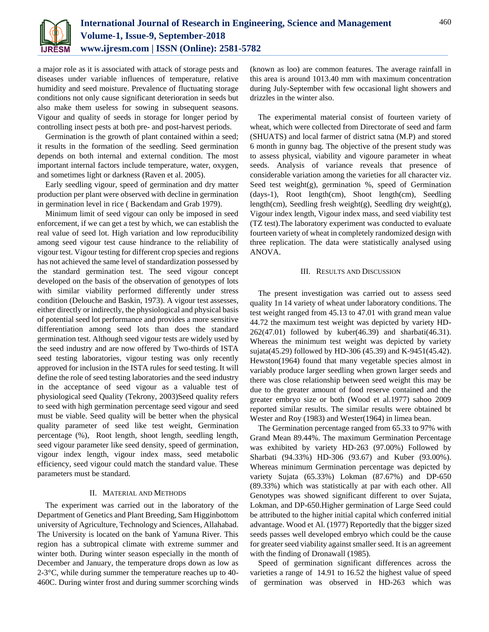

a major role as it is associated with attack of storage pests and diseases under variable influences of temperature, relative humidity and seed moisture. Prevalence of fluctuating storage conditions not only cause significant deterioration in seeds but also make them useless for sowing in subsequent seasons. Vigour and quality of seeds in storage for longer period by controlling insect pests at both pre- and post-harvest periods.

Germination is the growth of plant contained within a seed; it results in the formation of the seedling. Seed germination depends on both internal and external condition. The most important internal factors include temperature, water, oxygen, and sometimes light or darkness (Raven et al. 2005).

Early seedling vigour, speed of germination and dry matter production per plant were observed with decline in germination in germination level in rice ( Backendam and Grab 1979).

Minimum limit of seed vigour can only be imposed in seed enforcement, if we can get a test by which, we can establish the real value of seed lot. High variation and low reproducibility among seed vigour test cause hindrance to the reliability of vigour test. Vigour testing for different crop species and regions has not achieved the same level of standardization possessed by the standard germination test. The seed vigour concept developed on the basis of the observation of genotypes of lots with similar viability performed differently under stress condition (Delouche and Baskin, 1973). A vigour test assesses, either directly or indirectly, the physiological and physical basis of potential seed lot performance and provides a more sensitive differentiation among seed lots than does the standard germination test. Although seed vigour tests are widely used by the seed industry and are now offered by Two-thirds of ISTA seed testing laboratories, vigour testing was only recently approved for inclusion in the ISTA rules for seed testing. It will define the role of seed testing laboratories and the seed industry in the acceptance of seed vigour as a valuable test of physiological seed Quality (Tekrony, 2003)Seed quality refers to seed with high germination percentage seed vigour and seed must be viable. Seed quality will be better when the physical quality parameter of seed like test weight, Germination percentage (%), Root length, shoot length, seedling length, seed vigour parameter like seed density, speed of germination, vigour index length, vigour index mass, seed metabolic efficiency, seed vigour could match the standard value. These parameters must be standard.

# II. MATERIAL AND METHODS

The experiment was carried out in the laboratory of the Department of Genetics and Plant Breeding, Sam Higginbottom university of Agriculture, Technology and Sciences, Allahabad. The University is located on the bank of Yamuna River. This region has a subtropical climate with extreme summer and winter both. During winter season especially in the month of December and January, the temperature drops down as low as 2-3°C, while during summer the temperature reaches up to 40- 460C. During winter frost and during summer scorching winds (known as loo) are common features. The average rainfall in this area is around 1013.40 mm with maximum concentration during July-September with few occasional light showers and drizzles in the winter also.

The experimental material consist of fourteen variety of wheat, which were collected from Directorate of seed and farm (SHUATS) and local farmer of district satna (M.P) and stored 6 month in gunny bag. The objective of the present study was to assess physical, viability and vigoure parameter in wheat seeds. Analysis of variance reveals that presence of considerable variation among the varieties for all character viz. Seed test weight(g), germination  $%$ , speed of Germination (days-1), Root length(cm), Shoot length(cm), Seedling length(cm), Seedling fresh weight(g), Seedling dry weight(g), Vigour index length, Vigour index mass, and seed viability test (TZ test).The laboratory experiment was conducted to evaluate fourteen variety of wheat in completely randomized design with three replication. The data were statistically analysed using ANOVA.

#### III. RESULTS AND DISCUSSION

The present investigation was carried out to assess seed quality 1n 14 variety of wheat under laboratory conditions. The test weight ranged from 45.13 to 47.01 with grand mean value 44.72 the maximum test weight was depicted by variety HD-262(47.01) followed by kuber(46.39) and sharbati(46.31). Whereas the minimum test weight was depicted by variety sujata(45.29) followed by HD-306 (45.39) and K-9451(45.42). Hewston(1964) found that many vegetable species almost in variably produce larger seedling when grown larger seeds and there was close relationship between seed weight this may be due to the greater amount of food reserve contained and the greater embryo size or both (Wood et al.1977) sahoo 2009 reported similar results. The similar results were obtained bt Wester and Roy (1983) and Wester(1964) in limea bean.

The Germination percentage ranged from 65.33 to 97% with Grand Mean 89.44%. The maximum Germination Percentage was exhibited by variety HD-263 (97.00%) Followed by Sharbati (94.33%) HD-306 (93.67) and Kuber (93.00%). Whereas minimum Germination percentage was depicted by variety Sujata (65.33%) Lokman (87.67%) and DP-650 (89.33%) which was statistically at par with each other. All Genotypes was showed significant different to over Sujata, Lokman, and DP-650.Higher germination of Large Seed could be attributed to the higher initial capital which conferred initial advantage. Wood et Al. (1977) Reportedly that the bigger sized seeds passes well developed embryo which could be the cause for greater seed viability against smaller seed. It is an agreement with the finding of Dronawall (1985).

Speed of germination significant differences across the varieties a range of 14.91 to 16.52 the highest value of speed of germination was observed in HD-263 which was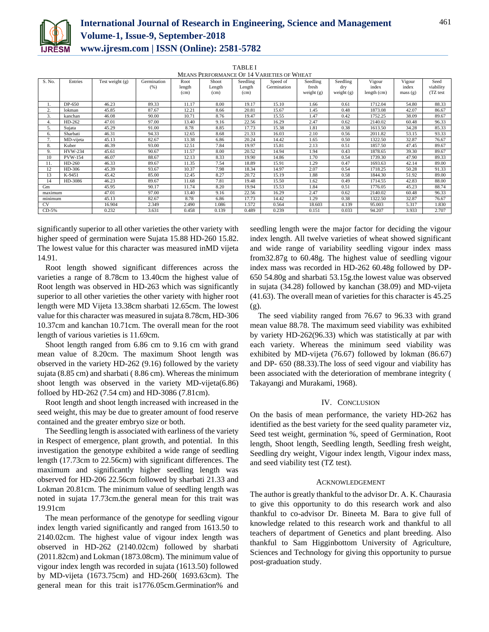

# **International Journal of Research in Engineering, Science and Management Volume-1, Issue-9, September-2018 www.ijresm.com | ISSN (Online): 2581-5782**

TABLE I

| MEANS PERFORMANCE OF 14 VARIETIES OF WHEAT |                |                   |             |        |        |          |             |              |              |             |         |           |
|--------------------------------------------|----------------|-------------------|-------------|--------|--------|----------|-------------|--------------|--------------|-------------|---------|-----------|
| S. No.                                     | Entries        | Test weight $(g)$ | Germination | Root   | Shoot  | Seedling | Speed of    | Seedling     | Seedling     | Vigour      | Vigour  | Seed      |
|                                            |                |                   | (% )        | length | Length | Length   | Germination | fresh        | dry          | index       | index   | viability |
|                                            |                |                   |             | (cm)   | (cm)   | (cm)     |             | weight $(g)$ | weight $(g)$ | length (cm) | mass(g) | (TZ test  |
|                                            |                |                   |             |        |        |          |             |              |              |             |         |           |
|                                            | DP-650         | 46.23             | 89.33       | 11.17  | 8.00   | 19.17    | 15.10       | 1.66         | 0.61         | 1712.04     | 54.80   | 88.33     |
| 2.                                         | lokman         | 45.85             | 87.67       | 12.21  | 8.66   | 20.81    | 15.67       | 1.45         | 0.48         | 1873.08     | 42.07   | 86.67     |
| 3.                                         | kanchan        | 46.08             | 90.00       | 10.71  | 8.76   | 19.47    | 15.55       | 1.47         | 0.42         | 1752.25     | 38.09   | 89.67     |
| 4.                                         | $HD-262$       | 47.01             | 97.00       | 13.40  | 9.16   | 22.56    | 16.29       | 2.47         | 0.62         | 2140.02     | 60.48   | 96.33     |
| 5.                                         | Sujata         | 45.29             | 91.00       | 8.78   | 8.85   | 17.73    | 15.38       | 1.81         | 0.38         | 1613.50     | 34.28   | 85.33     |
| 6.                                         | Sharbati       | 46.31             | 94.33       | 12.65  | 8.68   | 21.33    | 16.03       | 2.10         | 0.56         | 2011.82     | 53.15   | 93.33     |
|                                            | MD-vijeta      | 45.13             | 82.67       | 13.38  | 6.86   | 20.24    | 14.42       | 1.65         | 0.50         | 1322.50     | 32.87   | 76.67     |
| 8.                                         | Kuber          | 46.39             | 93.00       | 12.51  | 7.84   | 19.97    | 15.81       | 2.13         | 0.51         | 1857.50     | 47.45   | 89.67     |
| 9.                                         | HVW-234        | 45.61             | 90.67       | 11.57  | 8.00   | 20.52    | 14.94       | 1.94         | 0.43         | 1878.65     | 39.30   | 89.67     |
| 10                                         | <b>PVW-154</b> | 46.07             | 88.67       | 12.13  | 8.33   | 19.90    | 14.86       | 1.70         | 0.54         | 1739.30     | 47.90   | 89.33     |
| 11.                                        | HD-260         | 46.33             | 89.67       | 11.35  | 7.54   | 18.89    | 15.91       | 1.29         | 0.47         | 1693.63     | 42.14   | 89.00     |
| 12                                         | HD-306         | 45.39             | 93.67       | 10.37  | 7.98   | 18.34    | 14.97       | 2.07         | 0.54         | 1718.25     | 50.28   | 91.33     |
| 13                                         | K-9451         | 45.42             | 85.00       | 12.45  | 8.27   | 20.72    | 15.19       | 1.88         | 0.58         | 1844.30     | 51.92   | 89.00     |
| 14                                         | HD-3086        | 46.23             | 89.67       | 11.68  | 7.81   | 19.48    | 15.50       | 1.62         | 0.49         | 1714.55     | 42.83   | 88.00     |
| Gm                                         |                | 45.95             | 90.17       | 11.74  | 8.20   | 19.94    | 15.53       | 1.84         | 0.51         | 1776.05     | 45.23   | 88.74     |
| maximum                                    |                | 47.01             | 97.00       | 13.40  | 9.16   | 22.56    | 16.29       | 2.47         | 0.62         | 2140.02     | 60.48   | 96.33     |
| minimum                                    |                | 45.13             | 82.67       | 8.78   | 6.86   | 17.73    | 14.42       | 1.29         | 0.38         | 1322.50     | 32.87   | 76.67     |
| CV.                                        |                | 16.904            | 2.349       | 2.490  | 1.086  | 1.572    | 0.564       | 18.603       | 4.139        | 95.003      | 5.317   | 1.830     |
| CD-5%                                      |                | 0.232             | 3.631       | 0.458  | 0.139  | 0.489    | 0.239       | 0.151        | 0.033        | 94.207      | 3.933   | 2.707     |

significantly superior to all other varieties the other variety with higher speed of germination were Sujata 15.88 HD-260 15.82. The lowest value for this character was measured inMD vijeta 14.91.

Root length showed significant differences across the varieties a range of 8.78cm to 13.40cm the highest value of Root length was observed in HD-263 which was significantly superior to all other varieties the other variety with higher root length were MD Vijeta 13.38cm sharbati 12.65cm. The lowest value for this character was measured in sujata 8.78cm, HD-306 10.37cm and kanchan 10.71cm. The overall mean for the root length of various varieties is 11.69cm.

Shoot length ranged from 6.86 cm to 9.16 cm with grand mean value of 8.20cm. The maximum Shoot length was observed in the variety HD-262 (9.16) followed by the variety sujata (8.85 cm) and sharbati ( 8.86 cm). Whereas the minimum shoot length was observed in the variety MD-vijeta(6.86) folloed by HD-262 (7.54 cm) and HD-3086 (7.81cm).

Root length and shoot length increased with increased in the seed weight, this may be due to greater amount of food reserve contained and the greater embryo size or both.

The Seedling length is associated with earliness of the variety in Respect of emergence, plant growth, and potential. In this investigation the genotype exhibited a wide range of seedling length (17.73cm to 22.56cm) with significant differences. The maximum and significantly higher seedling length was observed for HD-206 22.56cm followed by sharbati 21.33 and Lokman 20.81cm. The minimum value of seedling length was noted in sujata 17.73cm.the general mean for this trait was 19.91cm

The mean performance of the genotype for seedling vigour index length varied significantly and ranged from 1613.50 to 2140.02cm. The highest value of vigour index length was observed in HD-262 (2140.02cm) followed by sharbati (2011.82cm) and Lokman (1873.08cm). The minimum value of vigour index length was recorded in sujata (1613.50) followed by MD-vijeta (1673.75cm) and HD-260( 1693.63cm). The general mean for this trait is1776.05cm.Germination% and seedling length were the major factor for deciding the vigour index length. All twelve varieties of wheat showed significant and wide range of variability seedling vigour index mass from32.87g to 60.48g. The highest value of seedling vigour index mass was recorded in HD-262 60.48g followed by DP-650 54.80g and sharbati 53.15g.the lowest value was observed in sujata (34.28) followed by kanchan (38.09) and MD-vijeta (41.63). The overall mean of varieties for this character is 45.25 (g).

The seed viability ranged from 76.67 to 96.33 with grand mean value 88.78. The maximum seed viability was exhibited by variety HD-262(96.33) which was statistically at par with each variety. Whereas the minimum seed viability was exhibited by MD-vijeta (76.67) followed by lokman (86.67) and DP- 650 (88.33).The loss of seed vigour and viability has been associated with the deterioration of membrane integrity ( Takayangi and Murakami, 1968).

# IV. CONCLUSION

On the basis of mean performance, the variety HD-262 has identified as the best variety for the seed quality parameter viz, Seed test weight, germination %, speed of Germination, Root length, Shoot length, Seedling length, Seedling fresh weight, Seedling dry weight, Vigour index length, Vigour index mass, and seed viability test (TZ test).

# ACKNOWLEDGEMENT

The author is greatly thankful to the advisor Dr. A. K. Chaurasia to give this opportunity to do this research work and also thankful to co-advisor Dr. Bineeta M. Bara to give full of knowledge related to this research work and thankful to all teachers of department of Genetics and plant breeding. Also thankful to Sam Higginbottom University of Agriculture, Sciences and Technology for giving this opportunity to pursue post-graduation study.